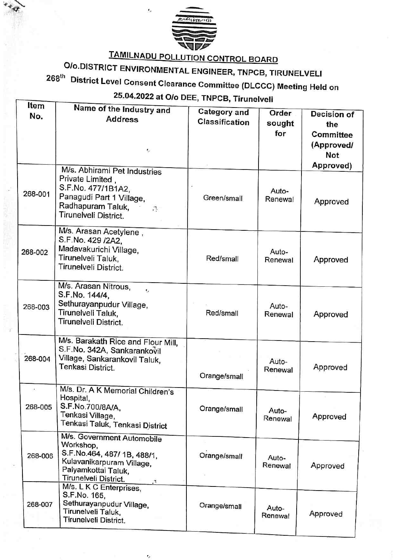

TAMILNADU POLLUTION CONTROL BOARD

Ÿ.

Olo.DISTRICT ENVIRONMENTAL ENGINEER, TNPCB, TIRUNELVELI

268<sup>th</sup> District Level Consent Clearance Committee (DLCCC) Meeting Held on

25.04.2022 at Olo DEE, TNPCB, Tirunelveli

| Item         | Name of the Industry and                                                                                                                                  |                                       |                  |             |
|--------------|-----------------------------------------------------------------------------------------------------------------------------------------------------------|---------------------------------------|------------------|-------------|
| No.          | <b>Address</b>                                                                                                                                            | <b>Category and</b><br>Classification | Order            | Decision of |
|              |                                                                                                                                                           |                                       | sought           | the         |
|              |                                                                                                                                                           |                                       | for              | Committee   |
|              | ١,                                                                                                                                                        |                                       |                  | (Approved/  |
|              |                                                                                                                                                           |                                       |                  | <b>Not</b>  |
|              | M/s. Abhirami Pet Industries                                                                                                                              |                                       |                  | Approved)   |
| 268-001      | Private Limited,<br>S.F.No. 477/1B1A2,<br>Panagudi Part 1 Village,<br>Radhapuram Taluk,<br>$\mathcal{P}_{\mathcal{P}}$<br>Tirunelveli District.           | Green/small                           | Auto-<br>Renewal | Approved    |
| 268-002      | M/s. Arasan Acetylene,<br>S.F.No. 429 /2A2,<br>Madavakurichi Village,<br>Tirunelveli Taluk,<br>Tirunelveli District.                                      | Red/small                             | Auto-<br>Renewal | Approved    |
| 268-003      | M/s. Arasan Nitrous,<br>$\mathbf{r}_i$<br>S.F.No. 144/4,<br>Sethurayanpudur Village,<br>Tirunelveli Taluk,<br>Tirunelveli District.                       | Red/small                             | Auto-<br>Renewal | Approved    |
| 268-004      | M/s. Barakath Rice and Flour Mill,<br>S.F.No. 342A, Sankarankovil<br>Village, Sankarankovil Taluk,<br>Tenkasi District.                                   | Orange/small                          | Auto-<br>Renewal | Approved    |
| ٠<br>268-005 | M/s. Dr. A K Memorial Children's<br>Hospital,<br>S.F.No.700/8A/A,<br>Tenkasi Village,<br>Tenkasi Taluk, Tenkasi District                                  | Orange/small                          | Auto-<br>Renewal | Approved    |
| 268-006      | M/s. Government Automobile<br>Workshop,<br>S.F.No.464, 487/ 1B, 488/1,<br>Kulavanikarpuram Village,<br>Palyamkottai Taluk,<br>Tirunelveli District.<br>28 | Orange/small                          | Auto-<br>Renewal | Approved    |
| 268-007      | M/s. L K C Enterprises,<br>S.F.No. 165,<br>Sethurayanpudur Village,<br>Tirunelveli Taluk,<br>Tirunelveli District.                                        | Orange/small                          | Auto-<br>Renewal | Approved    |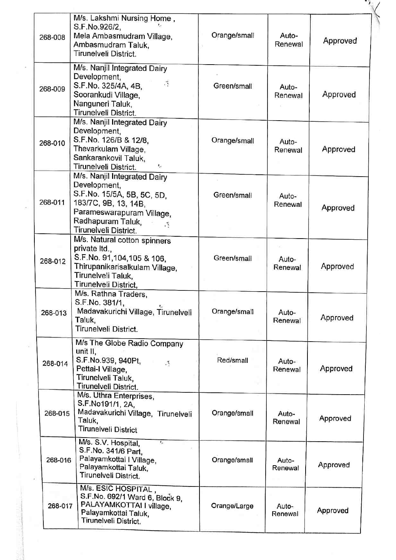| 268-008 | M/s. Lakshmi Nursing Home,<br>S.F.No.926/2,<br>Mela Ambasmudram Village,<br>Ambasmudram Taluk,<br>Tirunelveli District.                                                                        | Orange/small | Auto-<br>Renewal | Approved |
|---------|------------------------------------------------------------------------------------------------------------------------------------------------------------------------------------------------|--------------|------------------|----------|
| 268-009 | M/s. Nanjil Integrated Dairy<br>Development,<br>$\mathbb{R}^2$<br>S.F.No. 325/4A, 4B,<br>Soorankudi Village,<br>Nanguneri Taluk,<br>Tirunelveli District.                                      | Green/small  | Auto-<br>Renewal | Approved |
| 268-010 | M/s. Nanjil Integrated Dairy<br>Development,<br>S.F.No. 126/B & 12/8,<br>Thevarkulam Village,<br>Sankarankovil Taluk,<br>Tirunelveli District.<br>١×                                           | Orange/small | Auto-<br>Renewal | Approved |
| 268-011 | M/s. Nanjil Integrated Dairy<br>Development,<br>S.F.No. 15/5A, 5B, 5C, 5D,<br>183/7C, 9B, 13, 14B,<br>Parameswarapuram Village,<br>Radhapuram Taluk,<br>$\mathcal{R}$<br>Tirunelveli District. | Green/small  | Auto-<br>Renewal | Approved |
| 268-012 | M/s. Natural cotton spinners<br>private Itd.,<br>S.F.No. 91,104,105 & 106,<br>Thirupanikarisalkulam Village,<br>Tirunelveli Taluk,<br>Tirunelveli District,                                    | Green/small  | Auto-<br>Renewal | Approved |
| 268-013 | M/s. Rathna Traders,<br>S.F.No. 381/1,<br>$\epsilon_{\rm r}$<br>Madavakurichi Village, Tirunelveli<br>Taluk,<br>Tirunelveli District.                                                          | Orange/small | Auto-<br>Renewal | Approved |
| 268-014 | M/s The Globe Radio Company<br>unit II.<br>S.F.No.939, 940Pt,<br>$\mathcal{C}$<br>Pettai-I Village,<br>Tirunelveli Taluk,<br>Tirunelveli District.                                             | Red/small    | Auto-<br>Renewal | Approved |
| 268-015 | M/s. Uthra Enterprises,<br>S.F.No191/1, 2A,<br>Madavakurichi Village, Tirunelveli<br>Taluk,<br><b>Tirunelveli District</b>                                                                     | Orange/small | Auto-<br>Renewal | Approved |
| 268-016 | M/s. S.V. Hospital,<br>$t_{\rm cr}$<br>S.F.No. 341/6 Part,<br>Palayamkottai I Village,<br>Palayamkottai Taluk,<br>Tirunelveli District.                                                        | Orange/small | Auto-<br>Renewal | Approved |
| 268-017 | M/s. ESIC HOSPITAL,<br>S.F.No. 692/1 Ward 6, Block 9,<br>PALAYAMKOTTAI I village,<br>Palayamkottai Taluk,<br>Tirunelveli District.                                                             | Orange/Large | Auto-<br>Renewal | Approved |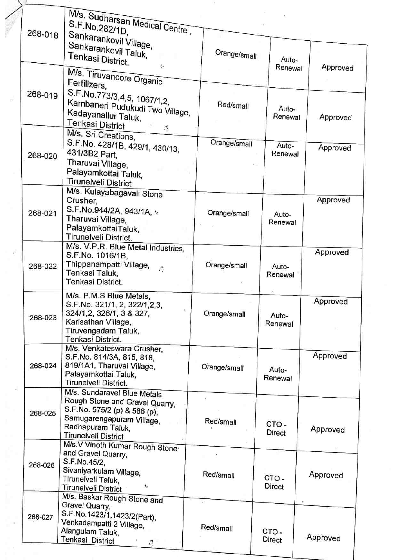|         | M/s. Sudharsan Medical Centre,<br>S.F.No.282/1D,                                                                                                                                |              |                          |          |
|---------|---------------------------------------------------------------------------------------------------------------------------------------------------------------------------------|--------------|--------------------------|----------|
| 268-018 | Sankarankovil Village,<br>Sankarankovil Taluk,<br>Tenkasi District.<br>$\pmb{r}_{it}$                                                                                           | Orange/small | Auto-<br>Renewal         | Approved |
|         | M/s. Tiruvancore Organic<br>Fertilizers,                                                                                                                                        |              |                          |          |
| 268-019 | S.F.No.773/3,4,5, 1067/1,2,<br>Kambaneri Pudukudi Two Village,<br>Kadayanallur Taluk,<br>Tenkasi District                                                                       | Red/small    | Auto-<br>Renewal         | Approved |
| 268-020 | $\mathcal{F}_{\mathcal{S}}$<br>M/s. Sri Creations,<br>S.F.No. 428/1B, 429/1, 430/13,<br>431/3B2 Part,                                                                           | Orange/small | Auto-<br>Renewal         | Approved |
|         | Tharuvai Village,<br>Palayamkottai Taluk,<br><b>Tirunelveli District</b>                                                                                                        |              |                          |          |
| 268-021 | M/s. Kulayabagavali Stone<br>Crusher,<br>S.F.No.944/2A, 943/1A, -<br>Tharuvai Village,                                                                                          | Orange/small | Auto-<br>Renewal         | Approved |
|         | PalayamkottaiTaluk,<br>Tirunelveli District.<br>M/s. V.P.R. Blue Metal Industries,                                                                                              |              |                          | Approved |
| 268-022 | S.F.No. 1016/1B,<br>Thippanampatti Village,<br>Tenkasi Taluk,<br>Tenkasi District.                                                                                              | Orange/small | Auto-<br>Renewal         |          |
| 268-023 | M/s. P.M.S Blue Metals.<br>S.F.No. 321/1, 2, 322/1,2,3,<br>324/1,2, 326/1, 3 & 327,<br>Karisathan Village,<br>Tiruvengadam Taluk,<br>Tenkasi District.                          | Orange/small | Auto-<br>Renewal         | Approved |
| 268-024 | M/s. Venkateswara Crusher,<br>S.F.No. 814/3A, 815, 818,<br>819/1A1, Tharuvai Village,<br>Palayamkottai Taluk,<br>Tirunelveli District.                                          | Orange/small | Auto-<br>Renewal         | Approved |
| 268-025 | M/s. Sundaravel Blue Metals<br>Rough Stone and Gravel Quarry,<br>S.F.No. 575/2 (p) & 586 (p),<br>Samugarengapuram Village,<br>Radhapuram Taluk,<br><b>Tirunelveli District</b>  | Red/small    | CTO-<br>Direct           | Approved |
| 268-026 | M/s.V Vinoth Kumar Rough Stone<br>and Gravel Quarry,<br>S.F.No.45/2,<br>Sivaniyarkulam Village,<br>Tirunelveli Taluk,<br>$I_{\Omega}$                                           | Red/small    | CTO-                     | Approved |
| 268-027 | <b>Tirunelveli District</b><br>M/s. Baskar Rough Stone and<br>Gravel Quarry,<br>S.F.No.1423/1,1423/2(Part),<br>Venkadampatti 2 Village,<br>Alangulam Taluk,<br>Tenkasi District | Red/small    | Direct<br>CTO-<br>Direct | Approved |